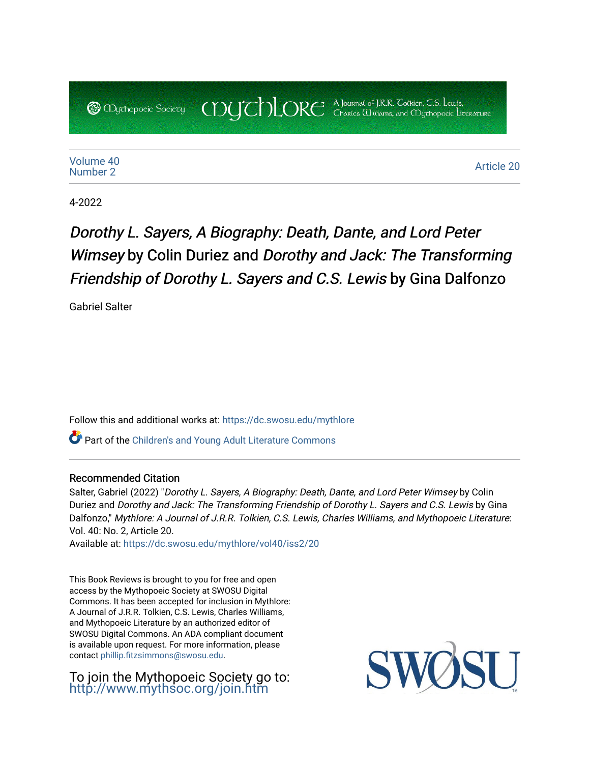COUCHORE A Journal of J.R.R. Colkien, C.S. Lewis, **@** *Oychopoeic* Sociecy

[Volume 40](https://dc.swosu.edu/mythlore/vol40) [Number 2](https://dc.swosu.edu/mythlore/vol40/iss2) Article 20<br>Number 2

4-2022

## Dorothy L. Sayers, A Biography: Death, Dante, and Lord Peter Wimsey by Colin Duriez and Dorothy and Jack: The Transforming Friendship of Dorothy L. Sayers and C.S. Lewis by Gina Dalfonzo

Gabriel Salter

Follow this and additional works at: [https://dc.swosu.edu/mythlore](https://dc.swosu.edu/mythlore?utm_source=dc.swosu.edu%2Fmythlore%2Fvol40%2Fiss2%2F20&utm_medium=PDF&utm_campaign=PDFCoverPages) 

Part of the [Children's and Young Adult Literature Commons](http://network.bepress.com/hgg/discipline/1289?utm_source=dc.swosu.edu%2Fmythlore%2Fvol40%2Fiss2%2F20&utm_medium=PDF&utm_campaign=PDFCoverPages) 

## Recommended Citation

Salter, Gabriel (2022) "Dorothy L. Sayers, A Biography: Death, Dante, and Lord Peter Wimsey by Colin Duriez and Dorothy and Jack: The Transforming Friendship of Dorothy L. Sayers and C.S. Lewis by Gina Dalfonzo," Mythlore: A Journal of J.R.R. Tolkien, C.S. Lewis, Charles Williams, and Mythopoeic Literature: Vol. 40: No. 2, Article 20.

Available at: [https://dc.swosu.edu/mythlore/vol40/iss2/20](https://dc.swosu.edu/mythlore/vol40/iss2/20?utm_source=dc.swosu.edu%2Fmythlore%2Fvol40%2Fiss2%2F20&utm_medium=PDF&utm_campaign=PDFCoverPages)

This Book Reviews is brought to you for free and open access by the Mythopoeic Society at SWOSU Digital Commons. It has been accepted for inclusion in Mythlore: A Journal of J.R.R. Tolkien, C.S. Lewis, Charles Williams, and Mythopoeic Literature by an authorized editor of SWOSU Digital Commons. An ADA compliant document is available upon request. For more information, please contact [phillip.fitzsimmons@swosu.edu.](mailto:phillip.fitzsimmons@swosu.edu)

To join the Mythopoeic Society go to: <http://www.mythsoc.org/join.htm>

SW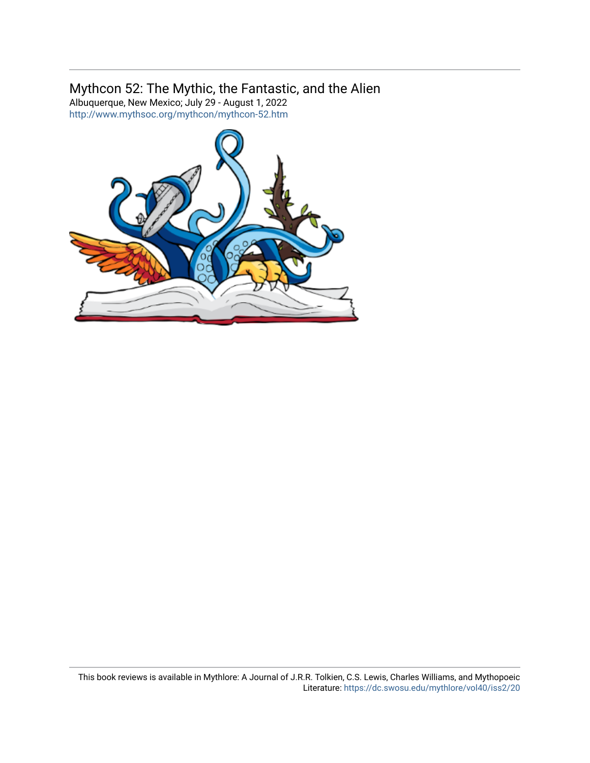## Mythcon 52: The Mythic, the Fantastic, and the Alien

Albuquerque, New Mexico; July 29 - August 1, 2022 <http://www.mythsoc.org/mythcon/mythcon-52.htm>

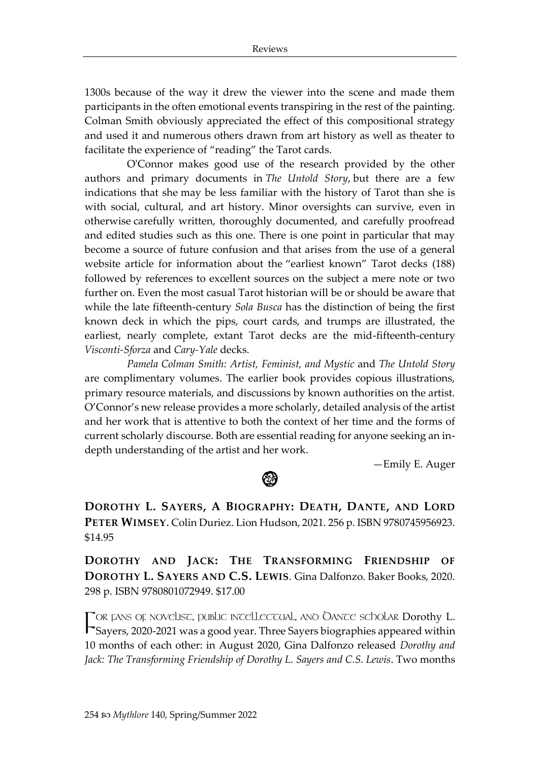1300s because of the way it drew the viewer into the scene and made them participants in the often emotional events transpiring in the rest of the painting. Colman Smith obviously appreciated the effect of this compositional strategy and used it and numerous others drawn from art history as well as theater to facilitate the experience of "reading" the Tarot cards.

O'Connor makes good use of the research provided by the other authors and primary documents in *The Untold Story*, but there are a few indications that she may be less familiar with the history of Tarot than she is with social, cultural, and art history. Minor oversights can survive, even in otherwise carefully written, thoroughly documented, and carefully proofread and edited studies such as this one. There is one point in particular that may become a source of future confusion and that arises from the use of a general website article for information about the "earliest known" Tarot decks (188) followed by references to excellent sources on the subject a mere note or two further on. Even the most casual Tarot historian will be or should be aware that while the late fifteenth-century *Sola Busca* has the distinction of being the first known deck in which the pips, court cards, and trumps are illustrated, the earliest, nearly complete, extant Tarot decks are the mid-fifteenth-century *Visconti-Sforza* and *Cary-Yale* decks.

*Pamela Colman Smith: Artist, Feminist, and Mystic* and *The Untold Story* are complimentary volumes. The earlier book provides copious illustrations, primary resource materials, and discussions by known authorities on the artist. O'Connor's new release provides a more scholarly, detailed analysis of the artist and her work that is attentive to both the context of her time and the forms of current scholarly discourse. Both are essential reading for anyone seeking an indepth understanding of the artist and her work.

—Emily E. Auger

**DOROTHY L. SAYERS, A BIOGRAPHY: DEATH, DANTE, AND LORD PETER WIMSEY**. Colin Duriez. Lion Hudson, 2021. 256 p. ISBN 9780745956923. \$14.95

**DOROTHY AND JACK: THE TRANSFORMING FRIENDSHIP OF DOROTHY L. SAYERS AND C.S. LEWIS**. Gina Dalfonzo. Baker Books, 2020. 298 p. ISBN 9780801072949. \$17.00

TOR FANS OF NOVELIST, PUBLIC INTELLECTUAL, AND OANTE SCHOLAR Dorothy L. FOR FANS OF NOVELIST, PUBLIC INTELLECTUAL, ANO OANTE SCHOLAR Dorothy L.<br>FSayers, 2020-2021 was a good year. Three Sayers biographies appeared within 10 months of each other: in August 2020, Gina Dalfonzo released *Dorothy and Jack: The Transforming Friendship of Dorothy L. Sayers and C.S. Lewis*. Two months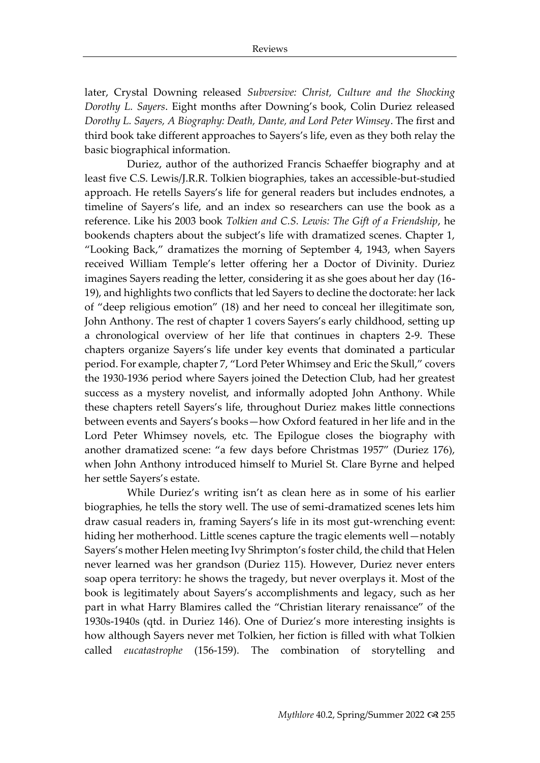later, Crystal Downing released *Subversive: Christ, Culture and the Shocking Dorothy L. Sayers*. Eight months after Downing's book, Colin Duriez released *Dorothy L. Sayers, A Biography: Death, Dante, and Lord Peter Wimsey*. The first and third book take different approaches to Sayers's life, even as they both relay the basic biographical information.

Duriez, author of the authorized Francis Schaeffer biography and at least five C.S. Lewis/J.R.R. Tolkien biographies, takes an accessible-but-studied approach. He retells Sayers's life for general readers but includes endnotes, a timeline of Sayers's life, and an index so researchers can use the book as a reference. Like his 2003 book *Tolkien and C.S. Lewis: The Gift of a Friendship*, he bookends chapters about the subject's life with dramatized scenes. Chapter 1, "Looking Back," dramatizes the morning of September 4, 1943, when Sayers received William Temple's letter offering her a Doctor of Divinity. Duriez imagines Sayers reading the letter, considering it as she goes about her day (16- 19), and highlights two conflicts that led Sayers to decline the doctorate: her lack of "deep religious emotion" (18) and her need to conceal her illegitimate son, John Anthony. The rest of chapter 1 covers Sayers's early childhood, setting up a chronological overview of her life that continues in chapters 2-9. These chapters organize Sayers's life under key events that dominated a particular period. For example, chapter 7, "Lord Peter Whimsey and Eric the Skull," covers the 1930-1936 period where Sayers joined the Detection Club, had her greatest success as a mystery novelist, and informally adopted John Anthony. While these chapters retell Sayers's life, throughout Duriez makes little connections between events and Sayers's books—how Oxford featured in her life and in the Lord Peter Whimsey novels, etc. The Epilogue closes the biography with another dramatized scene: "a few days before Christmas 1957" (Duriez 176), when John Anthony introduced himself to Muriel St. Clare Byrne and helped her settle Sayers's estate.

While Duriez's writing isn't as clean here as in some of his earlier biographies, he tells the story well. The use of semi-dramatized scenes lets him draw casual readers in, framing Sayers's life in its most gut-wrenching event: hiding her motherhood. Little scenes capture the tragic elements well—notably Sayers's mother Helen meeting Ivy Shrimpton's foster child, the child that Helen never learned was her grandson (Duriez 115). However, Duriez never enters soap opera territory: he shows the tragedy, but never overplays it. Most of the book is legitimately about Sayers's accomplishments and legacy, such as her part in what Harry Blamires called the "Christian literary renaissance" of the 1930s-1940s (qtd. in Duriez 146). One of Duriez's more interesting insights is how although Sayers never met Tolkien, her fiction is filled with what Tolkien called *eucatastrophe* (156-159). The combination of storytelling and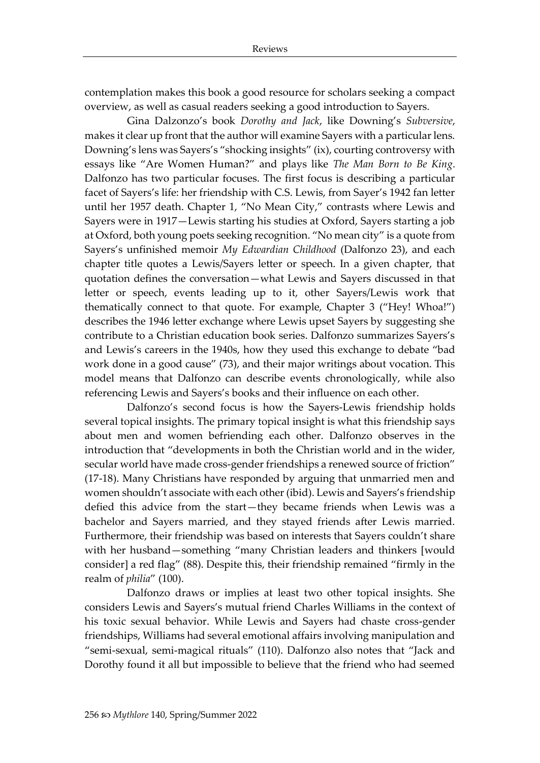contemplation makes this book a good resource for scholars seeking a compact overview, as well as casual readers seeking a good introduction to Sayers.

Gina Dalzonzo's book *Dorothy and Jack*, like Downing's *Subversive*, makes it clear up front that the author will examine Sayers with a particular lens. Downing's lens was Sayers's "shocking insights" (ix), courting controversy with essays like "Are Women Human?" and plays like *The Man Born to Be King*. Dalfonzo has two particular focuses. The first focus is describing a particular facet of Sayers's life: her friendship with C.S. Lewis, from Sayer's 1942 fan letter until her 1957 death. Chapter 1, "No Mean City," contrasts where Lewis and Sayers were in 1917—Lewis starting his studies at Oxford, Sayers starting a job at Oxford, both young poets seeking recognition. "No mean city" is a quote from Sayers's unfinished memoir *My Edwardian Childhood* (Dalfonzo 23), and each chapter title quotes a Lewis/Sayers letter or speech. In a given chapter, that quotation defines the conversation—what Lewis and Sayers discussed in that letter or speech, events leading up to it, other Sayers/Lewis work that thematically connect to that quote. For example, Chapter 3 ("Hey! Whoa!") describes the 1946 letter exchange where Lewis upset Sayers by suggesting she contribute to a Christian education book series. Dalfonzo summarizes Sayers's and Lewis's careers in the 1940s, how they used this exchange to debate "bad work done in a good cause" (73), and their major writings about vocation. This model means that Dalfonzo can describe events chronologically, while also referencing Lewis and Sayers's books and their influence on each other.

Dalfonzo's second focus is how the Sayers-Lewis friendship holds several topical insights. The primary topical insight is what this friendship says about men and women befriending each other. Dalfonzo observes in the introduction that "developments in both the Christian world and in the wider, secular world have made cross-gender friendships a renewed source of friction" (17-18). Many Christians have responded by arguing that unmarried men and women shouldn't associate with each other (ibid). Lewis and Sayers's friendship defied this advice from the start—they became friends when Lewis was a bachelor and Sayers married, and they stayed friends after Lewis married. Furthermore, their friendship was based on interests that Sayers couldn't share with her husband—something "many Christian leaders and thinkers [would consider] a red flag" (88). Despite this, their friendship remained "firmly in the realm of *philia*" (100).

Dalfonzo draws or implies at least two other topical insights. She considers Lewis and Sayers's mutual friend Charles Williams in the context of his toxic sexual behavior. While Lewis and Sayers had chaste cross-gender friendships, Williams had several emotional affairs involving manipulation and "semi-sexual, semi-magical rituals" (110). Dalfonzo also notes that "Jack and Dorothy found it all but impossible to believe that the friend who had seemed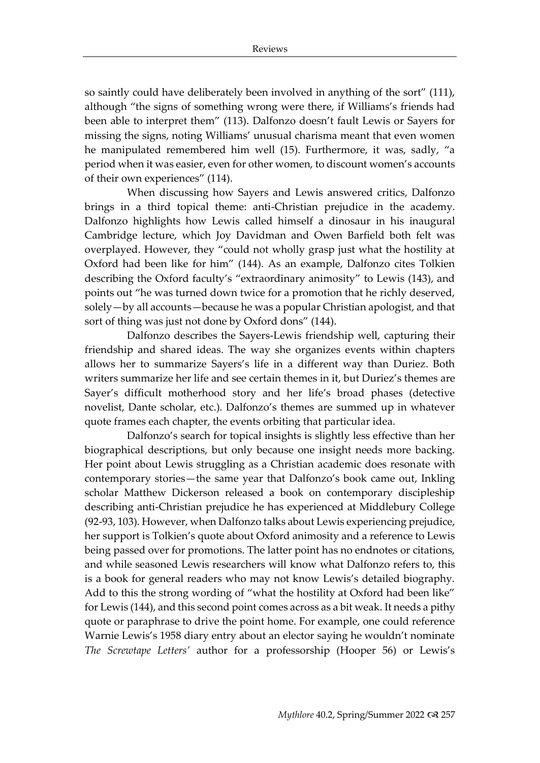so saintly could have deliberately been involved in anything of the sort" (111), although "the signs of something wrong were there, if Williams's friends had been able to interpret them" (113). Dalfonzo doesn't fault Lewis or Sayers for missing the signs, noting Williams' unusual charisma meant that even women he manipulated remembered him well (15). Furthermore, it was, sadly, "a period when it was easier, even for other women, to discount women's accounts of their own experiences" (114).

When discussing how Sayers and Lewis answered critics, Dalfonzo brings in a third topical theme: anti-Christian prejudice in the academy. Dalfonzo highlights how Lewis called himself a dinosaur in his inaugural Cambridge lecture, which Joy Davidman and Owen Barfield both felt was overplayed. However, they "could not wholly grasp just what the hostility at Oxford had been like for him" (144). As an example, Dalfonzo cites Tolkien describing the Oxford faculty's "extraordinary animosity" to Lewis (143), and points out "he was turned down twice for a promotion that he richly deserved, solely—by all accounts—because he was a popular Christian apologist, and that sort of thing was just not done by Oxford dons" (144).

Dalfonzo describes the Sayers-Lewis friendship well, capturing their friendship and shared ideas. The way she organizes events within chapters allows her to summarize Sayers's life in a different way than Duriez. Both writers summarize her life and see certain themes in it, but Duriez's themes are Sayer's difficult motherhood story and her life's broad phases (detective novelist, Dante scholar, etc.). Dalfonzo's themes are summed up in whatever quote frames each chapter, the events orbiting that particular idea.

Dalfonzo's search for topical insights is slightly less effective than her biographical descriptions, but only because one insight needs more backing. Her point about Lewis struggling as a Christian academic does resonate with contemporary stories—the same year that Dalfonzo's book came out, Inkling scholar Matthew Dickerson released a book on contemporary discipleship describing anti-Christian prejudice he has experienced at Middlebury College (92-93, 103). However, when Dalfonzo talks about Lewis experiencing prejudice, her support is Tolkien's quote about Oxford animosity and a reference to Lewis being passed over for promotions. The latter point has no endnotes or citations, and while seasoned Lewis researchers will know what Dalfonzo refers to, this is a book for general readers who may not know Lewis's detailed biography. Add to this the strong wording of "what the hostility at Oxford had been like" for Lewis (144), and this second point comes across as a bit weak. It needs a pithy quote or paraphrase to drive the point home. For example, one could reference Warnie Lewis's 1958 diary entry about an elector saying he wouldn't nominate *The Screwtape Letters'* author for a professorship (Hooper 56) or Lewis's